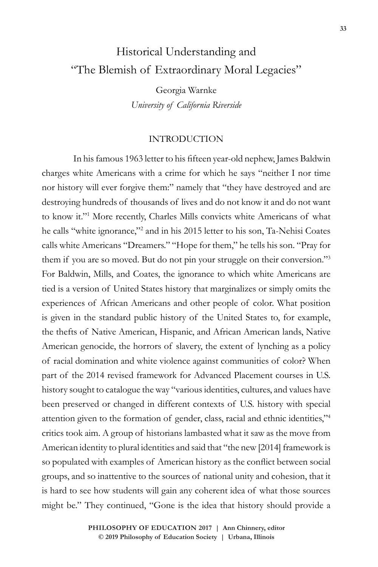# Historical Understanding and "The Blemish of Extraordinary Moral Legacies"

Georgia Warnke *University of California Riverside*

## INTRODUCTION

In his famous 1963 letter to his fifteen year-old nephew, James Baldwin charges white Americans with a crime for which he says "neither I nor time nor history will ever forgive them:" namely that "they have destroyed and are destroying hundreds of thousands of lives and do not know it and do not want to know it."<sup>1</sup> More recently, Charles Mills convicts white Americans of what he calls "white ignorance,"<sup>2</sup> and in his 2015 letter to his son, Ta-Nehisi Coates calls white Americans "Dreamers." "Hope for them," he tells his son. "Pray for them if you are so moved. But do not pin your struggle on their conversion."<sup>3</sup> For Baldwin, Mills, and Coates, the ignorance to which white Americans are tied is a version of United States history that marginalizes or simply omits the experiences of African Americans and other people of color. What position is given in the standard public history of the United States to, for example, the thefts of Native American, Hispanic, and African American lands, Native American genocide, the horrors of slavery, the extent of lynching as a policy of racial domination and white violence against communities of color? When part of the 2014 revised framework for Advanced Placement courses in U.S. history sought to catalogue the way "various identities, cultures, and values have been preserved or changed in different contexts of U.S. history with special attention given to the formation of gender, class, racial and ethnic identities,"4 critics took aim. A group of historians lambasted what it saw as the move from American identity to plural identities and said that "the new [2014] framework is so populated with examples of American history as the conflict between social groups, and so inattentive to the sources of national unity and cohesion, that it is hard to see how students will gain any coherent idea of what those sources might be." They continued, "Gone is the idea that history should provide a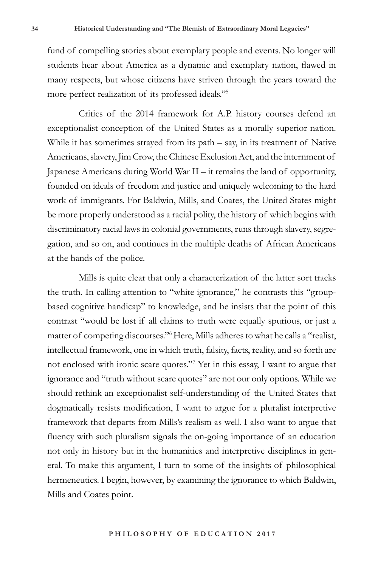fund of compelling stories about exemplary people and events. No longer will students hear about America as a dynamic and exemplary nation, flawed in many respects, but whose citizens have striven through the years toward the more perfect realization of its professed ideals."<sup>5</sup>

Critics of the 2014 framework for A.P. history courses defend an exceptionalist conception of the United States as a morally superior nation. While it has sometimes strayed from its path – say, in its treatment of Native Americans, slavery, Jim Crow, the Chinese Exclusion Act, and the internment of Japanese Americans during World War II – it remains the land of opportunity, founded on ideals of freedom and justice and uniquely welcoming to the hard work of immigrants. For Baldwin, Mills, and Coates, the United States might be more properly understood as a racial polity, the history of which begins with discriminatory racial laws in colonial governments, runs through slavery, segregation, and so on, and continues in the multiple deaths of African Americans at the hands of the police.

Mills is quite clear that only a characterization of the latter sort tracks the truth. In calling attention to "white ignorance," he contrasts this "groupbased cognitive handicap" to knowledge, and he insists that the point of this contrast "would be lost if all claims to truth were equally spurious, or just a matter of competing discourses." Here, Mills adheres to what he calls a "realist, intellectual framework, one in which truth, falsity, facts, reality, and so forth are not enclosed with ironic scare quotes."<sup>7</sup> Yet in this essay, I want to argue that ignorance and "truth without scare quotes" are not our only options. While we should rethink an exceptionalist self-understanding of the United States that dogmatically resists modification, I want to argue for a pluralist interpretive framework that departs from Mills's realism as well. I also want to argue that fluency with such pluralism signals the on-going importance of an education not only in history but in the humanities and interpretive disciplines in general. To make this argument, I turn to some of the insights of philosophical hermeneutics. I begin, however, by examining the ignorance to which Baldwin, Mills and Coates point.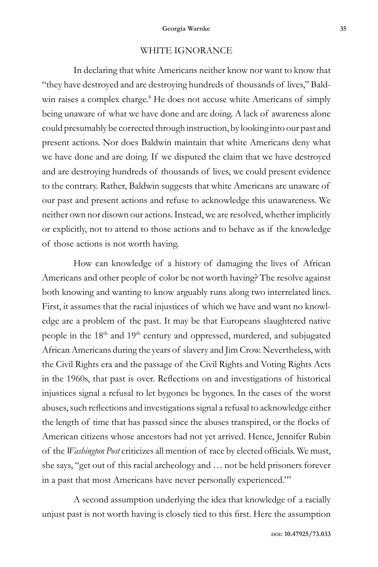### WHITE IGNORANCE

In declaring that white Americans neither know nor want to know that "they have destroyed and are destroying hundreds of thousands of lives," Baldwin raises a complex charge.<sup>8</sup> He does not accuse white Americans of simply being unaware of what we have done and are doing. A lack of awareness alone could presumably be corrected through instruction, by looking into our past and present actions. Nor does Baldwin maintain that white Americans deny what we have done and are doing. If we disputed the claim that we have destroyed and are destroying hundreds of thousands of lives, we could present evidence to the contrary. Rather, Baldwin suggests that white Americans are unaware of our past and present actions and refuse to acknowledge this unawareness. We neither own nor disown our actions. Instead, we are resolved, whether implicitly or explicitly, not to attend to those actions and to behave as if the knowledge of those actions is not worth having.

How can knowledge of a history of damaging the lives of African Americans and other people of color be not worth having? The resolve against both knowing and wanting to know arguably runs along two interrelated lines. First, it assumes that the racial injustices of which we have and want no knowledge are a problem of the past. It may be that Europeans slaughtered native people in the 18<sup>th</sup> and 19<sup>th</sup> century and oppressed, murdered, and subjugated African Americans during the years of slavery and Jim Crow. Nevertheless, with the Civil Rights era and the passage of the Civil Rights and Voting Rights Acts in the 1960s, that past is over. Reflections on and investigations of historical injustices signal a refusal to let bygones be bygones. In the cases of the worst abuses, such reflections and investigations signal a refusal to acknowledge either the length of time that has passed since the abuses transpired, or the flocks of American citizens whose ancestors had not yet arrived. Hence, Jennifer Rubin of the *Washington Post* criticizes all mention of race by elected officials. We must, she says, "get out of this racial archeology and … not be held prisoners forever in a past that most Americans have never personally experienced."<sup>9</sup>

A second assumption underlying the idea that knowledge of a racially unjust past is not worth having is closely tied to this first. Here the assumption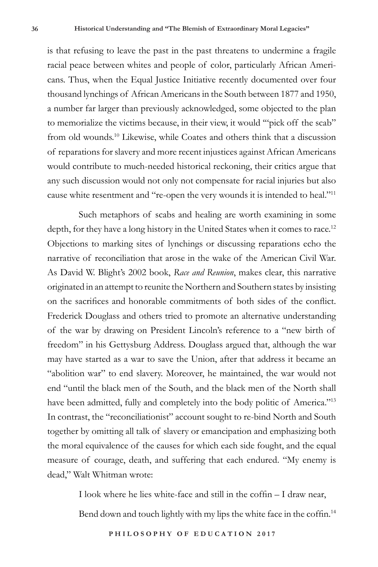is that refusing to leave the past in the past threatens to undermine a fragile racial peace between whites and people of color, particularly African Americans. Thus, when the Equal Justice Initiative recently documented over four thousand lynchings of African Americans in the South between 1877 and 1950, a number far larger than previously acknowledged, some objected to the plan to memorialize the victims because, in their view, it would '"pick off the scab" from old wounds.<sup>10</sup> Likewise, while Coates and others think that a discussion of reparations for slavery and more recent injustices against African Americans would contribute to much-needed historical reckoning, their critics argue that any such discussion would not only not compensate for racial injuries but also cause white resentment and "re-open the very wounds it is intended to heal."<sup>11</sup>

Such metaphors of scabs and healing are worth examining in some depth, for they have a long history in the United States when it comes to race.<sup>12</sup> Objections to marking sites of lynchings or discussing reparations echo the narrative of reconciliation that arose in the wake of the American Civil War. As David W. Blight's 2002 book, *Race and Reunion*, makes clear, this narrative originated in an attempt to reunite the Northern and Southern states by insisting on the sacrifices and honorable commitments of both sides of the conflict. Frederick Douglass and others tried to promote an alternative understanding of the war by drawing on President Lincoln's reference to a "new birth of freedom" in his Gettysburg Address. Douglass argued that, although the war may have started as a war to save the Union, after that address it became an "abolition war" to end slavery. Moreover, he maintained, the war would not end "until the black men of the South, and the black men of the North shall have been admitted, fully and completely into the body politic of America."<sup>13</sup> In contrast, the "reconciliationist" account sought to re-bind North and South together by omitting all talk of slavery or emancipation and emphasizing both the moral equivalence of the causes for which each side fought, and the equal measure of courage, death, and suffering that each endured. "My enemy is dead," Walt Whitman wrote:

I look where he lies white-face and still in the coffin – I draw near,

Bend down and touch lightly with my lips the white face in the coffin.<sup>14</sup>

**PHILOSOPHY OF EDUCATION 2017**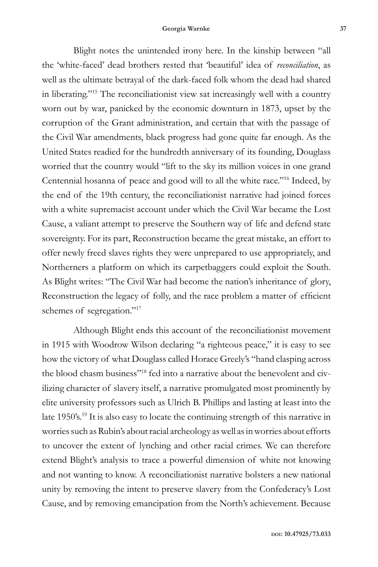#### **Georgia Warnke 37**

Blight notes the unintended irony here. In the kinship between "all the 'white-faced' dead brothers rested that 'beautiful' idea of *reconciliation*, as well as the ultimate betrayal of the dark-faced folk whom the dead had shared in liberating."<sup>15</sup> The reconciliationist view sat increasingly well with a country worn out by war, panicked by the economic downturn in 1873, upset by the corruption of the Grant administration, and certain that with the passage of the Civil War amendments, black progress had gone quite far enough. As the United States readied for the hundredth anniversary of its founding, Douglass worried that the country would "lift to the sky its million voices in one grand Centennial hosanna of peace and good will to all the white race."<sup>16</sup> Indeed, by the end of the 19th century, the reconciliationist narrative had joined forces with a white supremacist account under which the Civil War became the Lost Cause, a valiant attempt to preserve the Southern way of life and defend state sovereignty. For its part, Reconstruction became the great mistake, an effort to offer newly freed slaves rights they were unprepared to use appropriately, and Northerners a platform on which its carpetbaggers could exploit the South. As Blight writes: "The Civil War had become the nation's inheritance of glory, Reconstruction the legacy of folly, and the race problem a matter of efficient schemes of segregation."<sup>17</sup>

Although Blight ends this account of the reconciliationist movement in 1915 with Woodrow Wilson declaring "a righteous peace," it is easy to see how the victory of what Douglass called Horace Greely's "hand clasping across the blood chasm business"18 fed into a narrative about the benevolent and civilizing character of slavery itself, a narrative promulgated most prominently by elite university professors such as Ulrich B. Phillips and lasting at least into the late 1950's.<sup>19</sup> It is also easy to locate the continuing strength of this narrative in worries such as Rubin's about racial archeology as well as in worries about efforts to uncover the extent of lynching and other racial crimes. We can therefore extend Blight's analysis to trace a powerful dimension of white not knowing and not wanting to know. A reconciliationist narrative bolsters a new national unity by removing the intent to preserve slavery from the Confederacy's Lost Cause, and by removing emancipation from the North's achievement. Because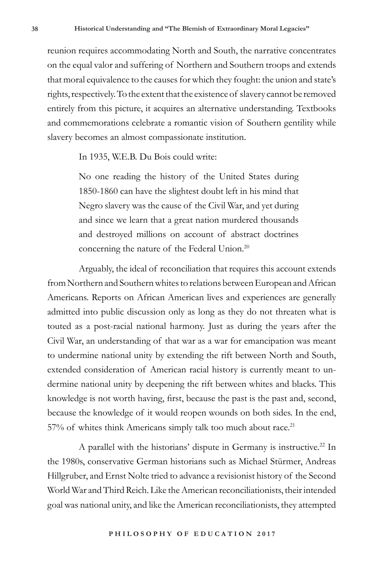reunion requires accommodating North and South, the narrative concentrates on the equal valor and suffering of Northern and Southern troops and extends that moral equivalence to the causes for which they fought: the union and state's rights, respectively. To the extent that the existence of slavery cannot be removed entirely from this picture, it acquires an alternative understanding. Textbooks and commemorations celebrate a romantic vision of Southern gentility while slavery becomes an almost compassionate institution.

In 1935, W.E.B. Du Bois could write:

No one reading the history of the United States during 1850-1860 can have the slightest doubt left in his mind that Negro slavery was the cause of the Civil War, and yet during and since we learn that a great nation murdered thousands and destroyed millions on account of abstract doctrines concerning the nature of the Federal Union.<sup>20</sup>

Arguably, the ideal of reconciliation that requires this account extends from Northern and Southern whites to relations between European and African Americans. Reports on African American lives and experiences are generally admitted into public discussion only as long as they do not threaten what is touted as a post-racial national harmony. Just as during the years after the Civil War, an understanding of that war as a war for emancipation was meant to undermine national unity by extending the rift between North and South, extended consideration of American racial history is currently meant to undermine national unity by deepening the rift between whites and blacks. This knowledge is not worth having, first, because the past is the past and, second, because the knowledge of it would reopen wounds on both sides. In the end, 57% of whites think Americans simply talk too much about race.<sup>21</sup>

A parallel with the historians' dispute in Germany is instructive.<sup>22</sup> In the 1980s, conservative German historians such as Michael Stürmer, Andreas Hillgruber, and Ernst Nolte tried to advance a revisionist history of the Second World War and Third Reich. Like the American reconciliationists, their intended goal was national unity, and like the American reconciliationists, they attempted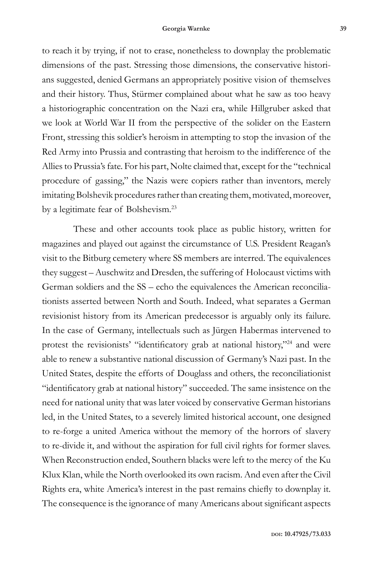to reach it by trying, if not to erase, nonetheless to downplay the problematic dimensions of the past. Stressing those dimensions, the conservative historians suggested, denied Germans an appropriately positive vision of themselves and their history. Thus, Stürmer complained about what he saw as too heavy a historiographic concentration on the Nazi era, while Hillgruber asked that we look at World War II from the perspective of the solider on the Eastern Front, stressing this soldier's heroism in attempting to stop the invasion of the Red Army into Prussia and contrasting that heroism to the indifference of the Allies to Prussia's fate. For his part, Nolte claimed that, except for the "technical procedure of gassing," the Nazis were copiers rather than inventors, merely imitating Bolshevik procedures rather than creating them, motivated, moreover, by a legitimate fear of Bolshevism.<sup>23</sup>

These and other accounts took place as public history, written for magazines and played out against the circumstance of U.S. President Reagan's visit to the Bitburg cemetery where SS members are interred. The equivalences they suggest – Auschwitz and Dresden, the suffering of Holocaust victims with German soldiers and the SS – echo the equivalences the American reconciliationists asserted between North and South. Indeed, what separates a German revisionist history from its American predecessor is arguably only its failure. In the case of Germany, intellectuals such as Jürgen Habermas intervened to protest the revisionists' "identificatory grab at national history,"24 and were able to renew a substantive national discussion of Germany's Nazi past. In the United States, despite the efforts of Douglass and others, the reconciliationist "identificatory grab at national history" succeeded. The same insistence on the need for national unity that was later voiced by conservative German historians led, in the United States, to a severely limited historical account, one designed to re-forge a united America without the memory of the horrors of slavery to re-divide it, and without the aspiration for full civil rights for former slaves. When Reconstruction ended, Southern blacks were left to the mercy of the Ku Klux Klan, while the North overlooked its own racism. And even after the Civil Rights era, white America's interest in the past remains chiefly to downplay it. The consequence is the ignorance of many Americans about significant aspects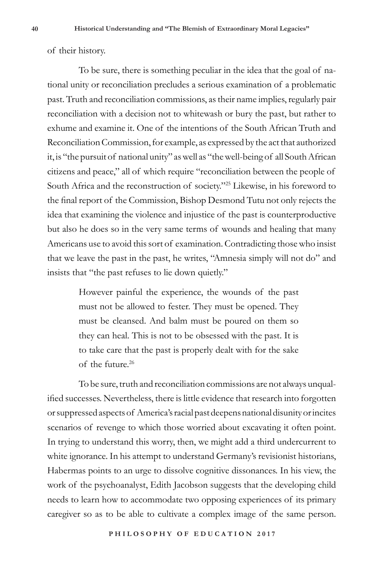of their history.

To be sure, there is something peculiar in the idea that the goal of national unity or reconciliation precludes a serious examination of a problematic past. Truth and reconciliation commissions, as their name implies, regularly pair reconciliation with a decision not to whitewash or bury the past, but rather to exhume and examine it. One of the intentions of the South African Truth and Reconciliation Commission, for example, as expressed by the act that authorized it, is "the pursuit of national unity" as well as "the well-being of all South African citizens and peace," all of which require "reconciliation between the people of South Africa and the reconstruction of society."<sup>25</sup> Likewise, in his foreword to the final report of the Commission, Bishop Desmond Tutu not only rejects the idea that examining the violence and injustice of the past is counterproductive but also he does so in the very same terms of wounds and healing that many Americans use to avoid this sort of examination. Contradicting those who insist that we leave the past in the past, he writes, "Amnesia simply will not do" and insists that "the past refuses to lie down quietly."

> However painful the experience, the wounds of the past must not be allowed to fester. They must be opened. They must be cleansed. And balm must be poured on them so they can heal. This is not to be obsessed with the past. It is to take care that the past is properly dealt with for the sake of the future.<sup>26</sup>

To be sure, truth and reconciliation commissions are not always unqualified successes. Nevertheless, there is little evidence that research into forgotten or suppressed aspects of America's racial past deepens national disunity or incites scenarios of revenge to which those worried about excavating it often point. In trying to understand this worry, then, we might add a third undercurrent to white ignorance. In his attempt to understand Germany's revisionist historians, Habermas points to an urge to dissolve cognitive dissonances. In his view, the work of the psychoanalyst, Edith Jacobson suggests that the developing child needs to learn how to accommodate two opposing experiences of its primary caregiver so as to be able to cultivate a complex image of the same person.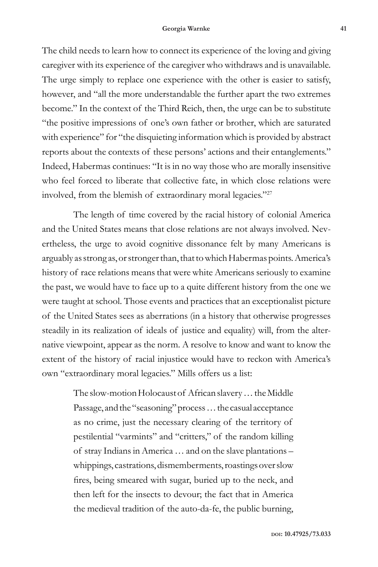The child needs to learn how to connect its experience of the loving and giving caregiver with its experience of the caregiver who withdraws and is unavailable. The urge simply to replace one experience with the other is easier to satisfy, however, and "all the more understandable the further apart the two extremes become." In the context of the Third Reich, then, the urge can be to substitute "the positive impressions of one's own father or brother, which are saturated with experience" for "the disquieting information which is provided by abstract reports about the contexts of these persons' actions and their entanglements." Indeed, Habermas continues: "It is in no way those who are morally insensitive who feel forced to liberate that collective fate, in which close relations were involved, from the blemish of extraordinary moral legacies."<sup>27</sup>

The length of time covered by the racial history of colonial America and the United States means that close relations are not always involved. Nevertheless, the urge to avoid cognitive dissonance felt by many Americans is arguably as strong as, or stronger than, that to which Habermas points. America's history of race relations means that were white Americans seriously to examine the past, we would have to face up to a quite different history from the one we were taught at school. Those events and practices that an exceptionalist picture of the United States sees as aberrations (in a history that otherwise progresses steadily in its realization of ideals of justice and equality) will, from the alternative viewpoint, appear as the norm. A resolve to know and want to know the extent of the history of racial injustice would have to reckon with America's own "extraordinary moral legacies." Mills offers us a list:

> The slow-motion Holocaust of African slavery … the Middle Passage, and the "seasoning" process … the casual acceptance as no crime, just the necessary clearing of the territory of pestilential "varmints" and "critters," of the random killing of stray Indians in America … and on the slave plantations – whippings, castrations, dismemberments, roastings over slow fires, being smeared with sugar, buried up to the neck, and then left for the insects to devour; the fact that in America the medieval tradition of the auto-da-fe, the public burning,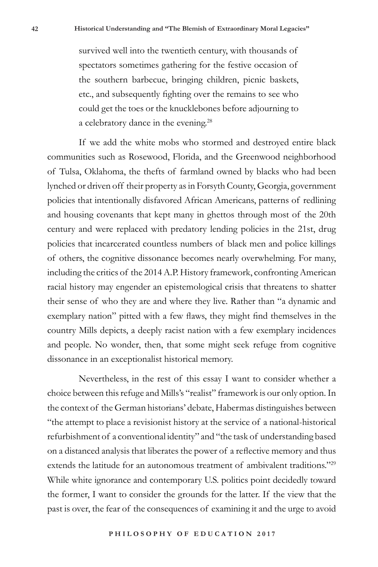survived well into the twentieth century, with thousands of spectators sometimes gathering for the festive occasion of the southern barbecue, bringing children, picnic baskets, etc., and subsequently fighting over the remains to see who could get the toes or the knucklebones before adjourning to a celebratory dance in the evening.<sup>28</sup>

If we add the white mobs who stormed and destroyed entire black communities such as Rosewood, Florida, and the Greenwood neighborhood of Tulsa, Oklahoma, the thefts of farmland owned by blacks who had been lynched or driven off their property as in Forsyth County, Georgia, government policies that intentionally disfavored African Americans, patterns of redlining and housing covenants that kept many in ghettos through most of the 20th century and were replaced with predatory lending policies in the 21st, drug policies that incarcerated countless numbers of black men and police killings of others, the cognitive dissonance becomes nearly overwhelming. For many, including the critics of the 2014 A.P. History framework, confronting American racial history may engender an epistemological crisis that threatens to shatter their sense of who they are and where they live. Rather than "a dynamic and exemplary nation" pitted with a few flaws, they might find themselves in the country Mills depicts, a deeply racist nation with a few exemplary incidences and people. No wonder, then, that some might seek refuge from cognitive dissonance in an exceptionalist historical memory.

Nevertheless, in the rest of this essay I want to consider whether a choice between this refuge and Mills's "realist" framework is our only option. In the context of the German historians' debate, Habermas distinguishes between "the attempt to place a revisionist history at the service of a national-historical refurbishment of a conventional identity" and "the task of understanding based on a distanced analysis that liberates the power of a reflective memory and thus extends the latitude for an autonomous treatment of ambivalent traditions.<sup>229</sup> While white ignorance and contemporary U.S. politics point decidedly toward the former, I want to consider the grounds for the latter. If the view that the past is over, the fear of the consequences of examining it and the urge to avoid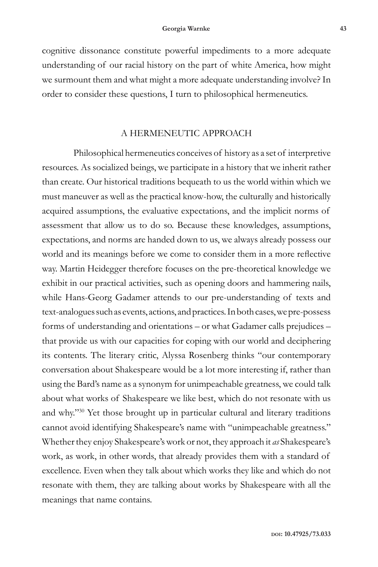cognitive dissonance constitute powerful impediments to a more adequate understanding of our racial history on the part of white America, how might we surmount them and what might a more adequate understanding involve? In order to consider these questions, I turn to philosophical hermeneutics.

## A HERMENEUTIC APPROACH

Philosophical hermeneutics conceives of history as a set of interpretive resources. As socialized beings, we participate in a history that we inherit rather than create. Our historical traditions bequeath to us the world within which we must maneuver as well as the practical know-how, the culturally and historically acquired assumptions, the evaluative expectations, and the implicit norms of assessment that allow us to do so. Because these knowledges, assumptions, expectations, and norms are handed down to us, we always already possess our world and its meanings before we come to consider them in a more reflective way. Martin Heidegger therefore focuses on the pre-theoretical knowledge we exhibit in our practical activities, such as opening doors and hammering nails, while Hans-Georg Gadamer attends to our pre-understanding of texts and text-analogues such as events, actions, and practices. In both cases, we pre-possess forms of understanding and orientations – or what Gadamer calls prejudices – that provide us with our capacities for coping with our world and deciphering its contents. The literary critic, Alyssa Rosenberg thinks "our contemporary conversation about Shakespeare would be a lot more interesting if, rather than using the Bard's name as a synonym for unimpeachable greatness, we could talk about what works of Shakespeare we like best, which do not resonate with us and why."<sup>30</sup> Yet those brought up in particular cultural and literary traditions cannot avoid identifying Shakespeare's name with "unimpeachable greatness." Whether they enjoy Shakespeare's work or not, they approach it *as* Shakespeare's work, as work, in other words, that already provides them with a standard of excellence. Even when they talk about which works they like and which do not resonate with them, they are talking about works by Shakespeare with all the meanings that name contains.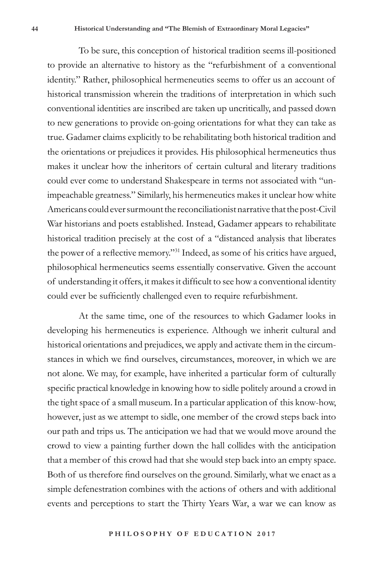To be sure, this conception of historical tradition seems ill-positioned to provide an alternative to history as the "refurbishment of a conventional identity." Rather, philosophical hermeneutics seems to offer us an account of historical transmission wherein the traditions of interpretation in which such conventional identities are inscribed are taken up uncritically, and passed down to new generations to provide on-going orientations for what they can take as true. Gadamer claims explicitly to be rehabilitating both historical tradition and the orientations or prejudices it provides. His philosophical hermeneutics thus makes it unclear how the inheritors of certain cultural and literary traditions could ever come to understand Shakespeare in terms not associated with "unimpeachable greatness." Similarly, his hermeneutics makes it unclear how white Americans could ever surmount the reconciliationist narrative that the post-Civil War historians and poets established. Instead, Gadamer appears to rehabilitate historical tradition precisely at the cost of a "distanced analysis that liberates the power of a reflective memory."<sup>31</sup> Indeed, as some of his critics have argued, philosophical hermeneutics seems essentially conservative. Given the account of understanding it offers, it makes it difficult to see how a conventional identity could ever be sufficiently challenged even to require refurbishment.

At the same time, one of the resources to which Gadamer looks in developing his hermeneutics is experience. Although we inherit cultural and historical orientations and prejudices, we apply and activate them in the circumstances in which we find ourselves, circumstances, moreover, in which we are not alone. We may, for example, have inherited a particular form of culturally specific practical knowledge in knowing how to sidle politely around a crowd in the tight space of a small museum. In a particular application of this know-how, however, just as we attempt to sidle, one member of the crowd steps back into our path and trips us. The anticipation we had that we would move around the crowd to view a painting further down the hall collides with the anticipation that a member of this crowd had that she would step back into an empty space. Both of us therefore find ourselves on the ground. Similarly, what we enact as a simple defenestration combines with the actions of others and with additional events and perceptions to start the Thirty Years War, a war we can know as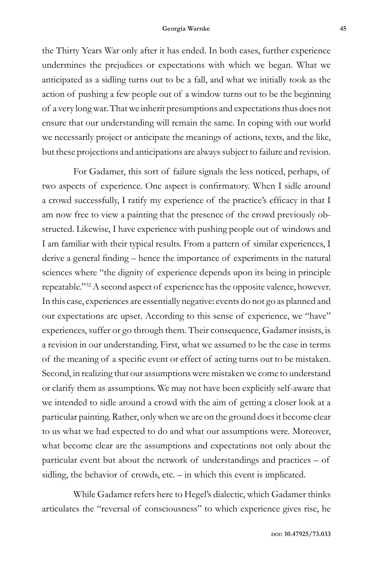#### **Georgia Warnke 45**

the Thirty Years War only after it has ended. In both cases, further experience undermines the prejudices or expectations with which we began. What we anticipated as a sidling turns out to be a fall, and what we initially took as the action of pushing a few people out of a window turns out to be the beginning of a very long war. That we inherit presumptions and expectations thus does not ensure that our understanding will remain the same. In coping with our world we necessarily project or anticipate the meanings of actions, texts, and the like, but these projections and anticipations are always subject to failure and revision.

For Gadamer, this sort of failure signals the less noticed, perhaps, of two aspects of experience. One aspect is confirmatory. When I sidle around a crowd successfully, I ratify my experience of the practice's efficacy in that I am now free to view a painting that the presence of the crowd previously obstructed. Likewise, I have experience with pushing people out of windows and I am familiar with their typical results. From a pattern of similar experiences, I derive a general finding – hence the importance of experiments in the natural sciences where "the dignity of experience depends upon its being in principle repeatable."<sup>32</sup> A second aspect of experience has the opposite valence, however. In this case, experiences are essentially negative: events do not go as planned and our expectations are upset. According to this sense of experience, we "have" experiences, suffer or go through them. Their consequence, Gadamer insists, is a revision in our understanding. First, what we assumed to be the case in terms of the meaning of a specific event or effect of acting turns out to be mistaken. Second, in realizing that our assumptions were mistaken we come to understand or clarify them as assumptions. We may not have been explicitly self-aware that we intended to sidle around a crowd with the aim of getting a closer look at a particular painting. Rather, only when we are on the ground does it become clear to us what we had expected to do and what our assumptions were. Moreover, what become clear are the assumptions and expectations not only about the particular event but about the network of understandings and practices – of sidling, the behavior of crowds, etc. – in which this event is implicated.

While Gadamer refers here to Hegel's dialectic, which Gadamer thinks articulates the "reversal of consciousness" to which experience gives rise, he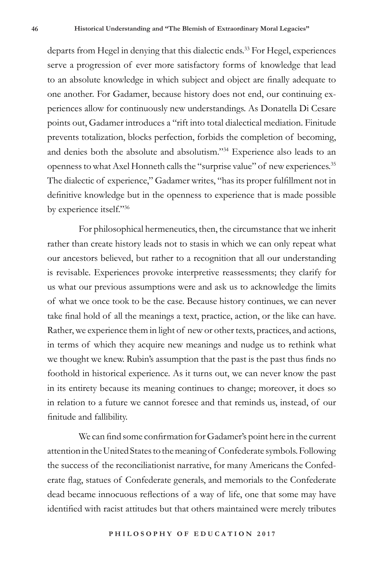departs from Hegel in denying that this dialectic ends.<sup>33</sup> For Hegel, experiences serve a progression of ever more satisfactory forms of knowledge that lead to an absolute knowledge in which subject and object are finally adequate to one another. For Gadamer, because history does not end, our continuing experiences allow for continuously new understandings. As Donatella Di Cesare points out, Gadamer introduces a "rift into total dialectical mediation. Finitude prevents totalization, blocks perfection, forbids the completion of becoming, and denies both the absolute and absolutism."34 Experience also leads to an openness to what Axel Honneth calls the "surprise value" of new experiences.<sup>35</sup> The dialectic of experience," Gadamer writes, "has its proper fulfillment not in definitive knowledge but in the openness to experience that is made possible by experience itself."<sup>36</sup>

For philosophical hermeneutics, then, the circumstance that we inherit rather than create history leads not to stasis in which we can only repeat what our ancestors believed, but rather to a recognition that all our understanding is revisable. Experiences provoke interpretive reassessments; they clarify for us what our previous assumptions were and ask us to acknowledge the limits of what we once took to be the case. Because history continues, we can never take final hold of all the meanings a text, practice, action, or the like can have. Rather, we experience them in light of new or other texts, practices, and actions, in terms of which they acquire new meanings and nudge us to rethink what we thought we knew. Rubin's assumption that the past is the past thus finds no foothold in historical experience. As it turns out, we can never know the past in its entirety because its meaning continues to change; moreover, it does so in relation to a future we cannot foresee and that reminds us, instead, of our finitude and fallibility.

We can find some confirmation for Gadamer's point here in the current attention in the United States to the meaning of Confederate symbols. Following the success of the reconciliationist narrative, for many Americans the Confederate flag, statues of Confederate generals, and memorials to the Confederate dead became innocuous reflections of a way of life, one that some may have identified with racist attitudes but that others maintained were merely tributes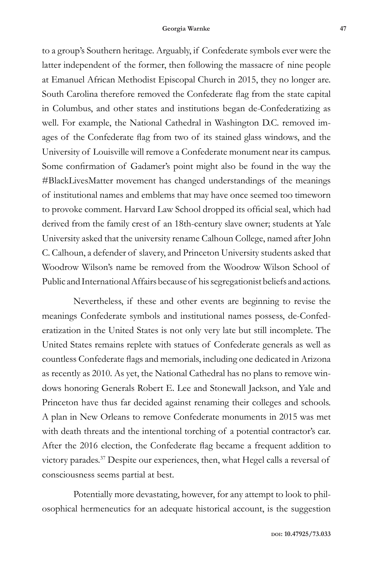to a group's Southern heritage. Arguably, if Confederate symbols ever were the latter independent of the former, then following the massacre of nine people at Emanuel African Methodist Episcopal Church in 2015, they no longer are. South Carolina therefore removed the Confederate flag from the state capital in Columbus, and other states and institutions began de-Confederatizing as well. For example, the National Cathedral in Washington D.C. removed images of the Confederate flag from two of its stained glass windows, and the University of Louisville will remove a Confederate monument near its campus. Some confirmation of Gadamer's point might also be found in the way the #BlackLivesMatter movement has changed understandings of the meanings of institutional names and emblems that may have once seemed too timeworn to provoke comment. Harvard Law School dropped its official seal, which had derived from the family crest of an 18th-century slave owner; students at Yale University asked that the university rename Calhoun College, named after John C. Calhoun, a defender of slavery, and Princeton University students asked that Woodrow Wilson's name be removed from the Woodrow Wilson School of Public and International Affairs because of his segregationist beliefs and actions.

Nevertheless, if these and other events are beginning to revise the meanings Confederate symbols and institutional names possess, de-Confederatization in the United States is not only very late but still incomplete. The United States remains replete with statues of Confederate generals as well as countless Confederate flags and memorials, including one dedicated in Arizona as recently as 2010. As yet, the National Cathedral has no plans to remove windows honoring Generals Robert E. Lee and Stonewall Jackson, and Yale and Princeton have thus far decided against renaming their colleges and schools. A plan in New Orleans to remove Confederate monuments in 2015 was met with death threats and the intentional torching of a potential contractor's car. After the 2016 election, the Confederate flag became a frequent addition to victory parades.<sup>37</sup> Despite our experiences, then, what Hegel calls a reversal of consciousness seems partial at best.

Potentially more devastating, however, for any attempt to look to philosophical hermeneutics for an adequate historical account, is the suggestion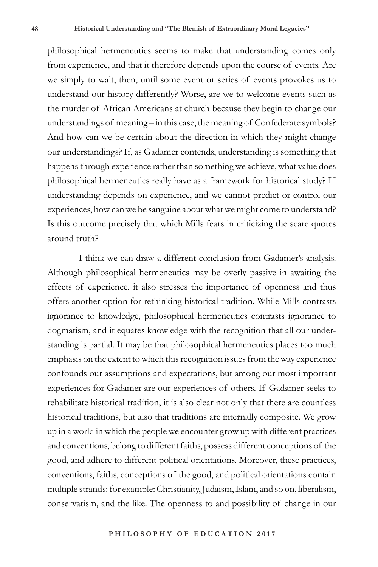philosophical hermeneutics seems to make that understanding comes only from experience, and that it therefore depends upon the course of events. Are we simply to wait, then, until some event or series of events provokes us to understand our history differently? Worse, are we to welcome events such as the murder of African Americans at church because they begin to change our understandings of meaning – in this case, the meaning of Confederate symbols? And how can we be certain about the direction in which they might change our understandings? If, as Gadamer contends, understanding is something that happens through experience rather than something we achieve, what value does philosophical hermeneutics really have as a framework for historical study? If understanding depends on experience, and we cannot predict or control our experiences, how can we be sanguine about what we might come to understand? Is this outcome precisely that which Mills fears in criticizing the scare quotes around truth?

I think we can draw a different conclusion from Gadamer's analysis. Although philosophical hermeneutics may be overly passive in awaiting the effects of experience, it also stresses the importance of openness and thus offers another option for rethinking historical tradition. While Mills contrasts ignorance to knowledge, philosophical hermeneutics contrasts ignorance to dogmatism, and it equates knowledge with the recognition that all our understanding is partial. It may be that philosophical hermeneutics places too much emphasis on the extent to which this recognition issues from the way experience confounds our assumptions and expectations, but among our most important experiences for Gadamer are our experiences of others. If Gadamer seeks to rehabilitate historical tradition, it is also clear not only that there are countless historical traditions, but also that traditions are internally composite. We grow up in a world in which the people we encounter grow up with different practices and conventions, belong to different faiths, possess different conceptions of the good, and adhere to different political orientations. Moreover, these practices, conventions, faiths, conceptions of the good, and political orientations contain multiple strands: for example: Christianity, Judaism, Islam, and so on, liberalism, conservatism, and the like. The openness to and possibility of change in our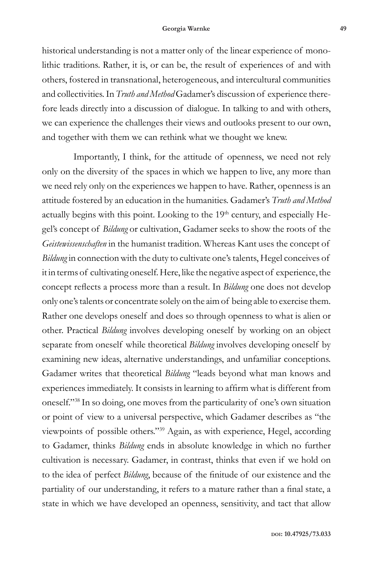#### **Georgia Warnke 49**

historical understanding is not a matter only of the linear experience of monolithic traditions. Rather, it is, or can be, the result of experiences of and with others, fostered in transnational, heterogeneous, and intercultural communities and collectivities. In *Truth and Method* Gadamer's discussion of experience therefore leads directly into a discussion of dialogue. In talking to and with others, we can experience the challenges their views and outlooks present to our own, and together with them we can rethink what we thought we knew.

Importantly, I think, for the attitude of openness, we need not rely only on the diversity of the spaces in which we happen to live, any more than we need rely only on the experiences we happen to have. Rather, openness is an attitude fostered by an education in the humanities. Gadamer's *Truth and Method* actually begins with this point. Looking to the 19<sup>th</sup> century, and especially Hegel's concept of *Bildung* or cultivation, Gadamer seeks to show the roots of the *Geistewissenschaften* in the humanist tradition. Whereas Kant uses the concept of *Bildung* in connection with the duty to cultivate one's talents, Hegel conceives of it in terms of cultivating oneself. Here, like the negative aspect of experience, the concept reflects a process more than a result. In *Bildung* one does not develop only one's talents or concentrate solely on the aim of being able to exercise them. Rather one develops oneself and does so through openness to what is alien or other. Practical *Bildung* involves developing oneself by working on an object separate from oneself while theoretical *Bildung* involves developing oneself by examining new ideas, alternative understandings, and unfamiliar conceptions. Gadamer writes that theoretical *Bildung* "leads beyond what man knows and experiences immediately. It consists in learning to affirm what is different from oneself."<sup>38</sup> In so doing, one moves from the particularity of one's own situation or point of view to a universal perspective, which Gadamer describes as "the viewpoints of possible others."<sup>39</sup> Again, as with experience, Hegel, according to Gadamer, thinks *Bildung* ends in absolute knowledge in which no further cultivation is necessary. Gadamer, in contrast, thinks that even if we hold on to the idea of perfect *Bildung*, because of the finitude of our existence and the partiality of our understanding, it refers to a mature rather than a final state, a state in which we have developed an openness, sensitivity, and tact that allow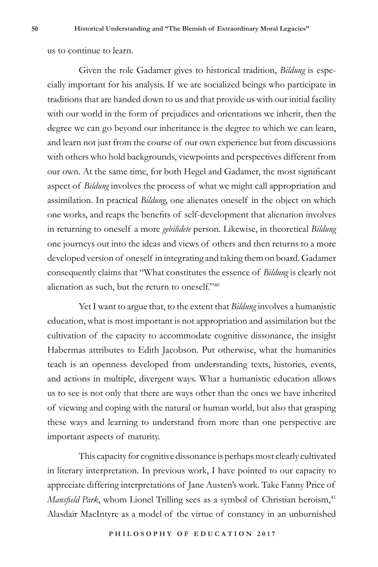us to continue to learn.

Given the role Gadamer gives to historical tradition, *Bildung* is especially important for his analysis. If we are socialized beings who participate in traditions that are handed down to us and that provide us with our initial facility with our world in the form of prejudices and orientations we inherit, then the degree we can go beyond our inheritance is the degree to which we can learn, and learn not just from the course of our own experience but from discussions with others who hold backgrounds, viewpoints and perspectives different from our own. At the same time, for both Hegel and Gadamer, the most significant aspect of *Bildung* involves the process of what we might call appropriation and assimilation. In practical *Bildung*, one alienates oneself in the object on which one works, and reaps the benefits of self-development that alienation involves in returning to oneself a more *gebilidete* person. Likewise, in theoretical *Bildung*  one journeys out into the ideas and views of others and then returns to a more developed version of oneself in integrating and taking them on board. Gadamer consequently claims that "What constitutes the essence of *Bildung* is clearly not alienation as such, but the return to oneself."40

Yet I want to argue that, to the extent that *Bildung* involves a humanistic education, what is most important is not appropriation and assimilation but the cultivation of the capacity to accommodate cognitive dissonance, the insight Habermas attributes to Edith Jacobson. Put otherwise, what the humanities teach is an openness developed from understanding texts, histories, events, and actions in multiple, divergent ways. What a humanistic education allows us to see is not only that there are ways other than the ones we have inherited of viewing and coping with the natural or human world, but also that grasping these ways and learning to understand from more than one perspective are important aspects of maturity.

This capacity for cognitive dissonance is perhaps most clearly cultivated in literary interpretation. In previous work, I have pointed to our capacity to appreciate differing interpretations of Jane Austen's work. Take Fanny Price of *Mansfield Park*, whom Lionel Trilling sees as a symbol of Christian heroism,<sup>41</sup> Alasdair MacIntyre as a model of the virtue of constancy in an unburnished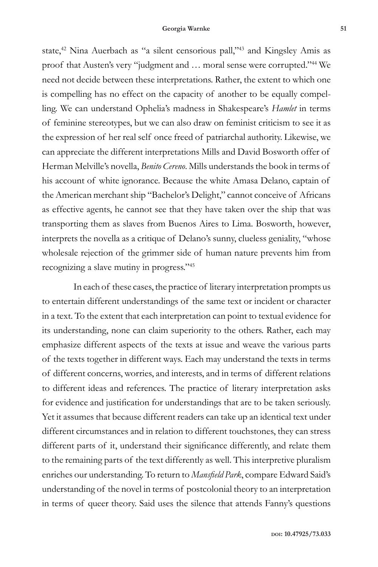state,<sup>42</sup> Nina Auerbach as "a silent censorious pall,"<sup>43</sup> and Kingsley Amis as proof that Austen's very "judgment and … moral sense were corrupted."44 We need not decide between these interpretations. Rather, the extent to which one is compelling has no effect on the capacity of another to be equally compelling. We can understand Ophelia's madness in Shakespeare's *Hamlet* in terms of feminine stereotypes, but we can also draw on feminist criticism to see it as the expression of her real self once freed of patriarchal authority. Likewise, we can appreciate the different interpretations Mills and David Bosworth offer of Herman Melville's novella, *Benito Cereno*. Mills understands the book in terms of his account of white ignorance. Because the white Amasa Delano, captain of the American merchant ship "Bachelor's Delight," cannot conceive of Africans as effective agents, he cannot see that they have taken over the ship that was transporting them as slaves from Buenos Aires to Lima. Bosworth, however, interprets the novella as a critique of Delano's sunny, clueless geniality, "whose wholesale rejection of the grimmer side of human nature prevents him from recognizing a slave mutiny in progress."45

In each of these cases, the practice of literary interpretation prompts us to entertain different understandings of the same text or incident or character in a text. To the extent that each interpretation can point to textual evidence for its understanding, none can claim superiority to the others. Rather, each may emphasize different aspects of the texts at issue and weave the various parts of the texts together in different ways. Each may understand the texts in terms of different concerns, worries, and interests, and in terms of different relations to different ideas and references. The practice of literary interpretation asks for evidence and justification for understandings that are to be taken seriously. Yet it assumes that because different readers can take up an identical text under different circumstances and in relation to different touchstones, they can stress different parts of it, understand their significance differently, and relate them to the remaining parts of the text differently as well. This interpretive pluralism enriches our understanding. To return to *Mansfield Park*, compare Edward Said's understanding of the novel in terms of postcolonial theory to an interpretation in terms of queer theory. Said uses the silence that attends Fanny's questions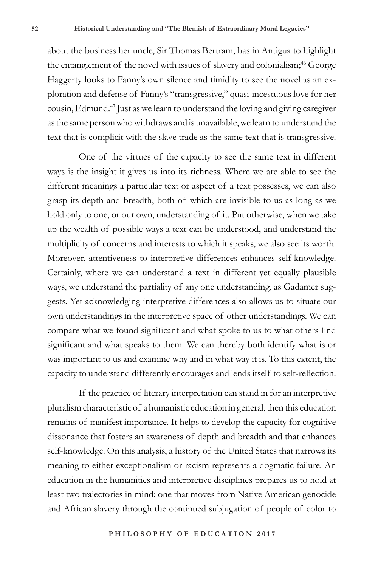about the business her uncle, Sir Thomas Bertram, has in Antigua to highlight the entanglement of the novel with issues of slavery and colonialism;<sup>46</sup> George Haggerty looks to Fanny's own silence and timidity to see the novel as an exploration and defense of Fanny's "transgressive," quasi-incestuous love for her cousin, Edmund.47 Just as we learn to understand the loving and giving caregiver as the same person who withdraws and is unavailable, we learn to understand the text that is complicit with the slave trade as the same text that is transgressive.

One of the virtues of the capacity to see the same text in different ways is the insight it gives us into its richness. Where we are able to see the different meanings a particular text or aspect of a text possesses, we can also grasp its depth and breadth, both of which are invisible to us as long as we hold only to one, or our own, understanding of it. Put otherwise, when we take up the wealth of possible ways a text can be understood, and understand the multiplicity of concerns and interests to which it speaks, we also see its worth. Moreover, attentiveness to interpretive differences enhances self-knowledge. Certainly, where we can understand a text in different yet equally plausible ways, we understand the partiality of any one understanding, as Gadamer suggests. Yet acknowledging interpretive differences also allows us to situate our own understandings in the interpretive space of other understandings. We can compare what we found significant and what spoke to us to what others find significant and what speaks to them. We can thereby both identify what is or was important to us and examine why and in what way it is. To this extent, the capacity to understand differently encourages and lends itself to self-reflection.

If the practice of literary interpretation can stand in for an interpretive pluralism characteristic of a humanistic education in general, then this education remains of manifest importance. It helps to develop the capacity for cognitive dissonance that fosters an awareness of depth and breadth and that enhances self-knowledge. On this analysis, a history of the United States that narrows its meaning to either exceptionalism or racism represents a dogmatic failure. An education in the humanities and interpretive disciplines prepares us to hold at least two trajectories in mind: one that moves from Native American genocide and African slavery through the continued subjugation of people of color to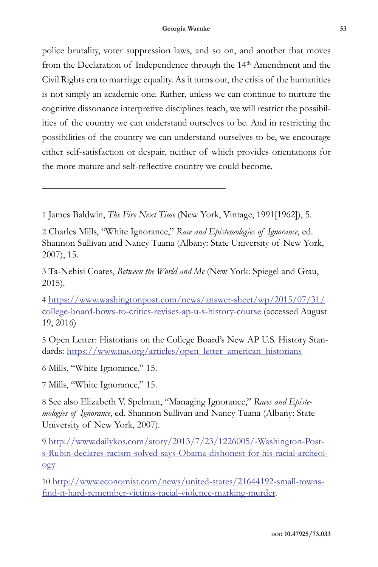police brutality, voter suppression laws, and so on, and another that moves from the Declaration of Independence through the 14<sup>th</sup> Amendment and the Civil Rights era to marriage equality. As it turns out, the crisis of the humanities is not simply an academic one. Rather, unless we can continue to nurture the cognitive dissonance interpretive disciplines teach, we will restrict the possibilities of the country we can understand ourselves to be. And in restricting the possibilities of the country we can understand ourselves to be, we encourage either self-satisfaction or despair, neither of which provides orientations for the more mature and self-reflective country we could become.

1 James Baldwin, *The Fire Next Time* (New York, Vintage, 1991[1962]), 5.

2 Charles Mills, "White Ignorance," *Race and Epistemologies of Ignorance*, ed. Shannon Sullivan and Nancy Tuana (Albany: State University of New York, 2007), 15.

3 Ta-Nehisi Coates, *Between the World and Me* (New York: Spiegel and Grau, 2015).

4 https://www.washingtonpost.com/news/answer-sheet/wp/2015/07/31/ college-board-bows-to-critics-revises-ap-u-s-history-course (accessed August 19, 2016)

5 Open Letter: Historians on the College Board's New AP U.S. History Standards: https://www.nas.org/articles/open\_letter\_american\_historians

6 Mills, "White Ignorance," 15.

7 Mills, "White Ignorance," 15.

8 See also Elizabeth V. Spelman, "Managing Ignorance," *Races and Epistemologies of Ignorance*, ed. Shannon Sullivan and Nancy Tuana (Albany: State University of New York, 2007).

9 http://www.dailykos.com/story/2013/7/23/1226005/-Washington-Posts-Rubin-declares-racism-solved-says-Obama-dishonest-for-his-racial-archeology

10 http://www.economist.com/news/united-states/21644192-small-townsfind-it-hard-remember-victims-racial-violence-marking-murder.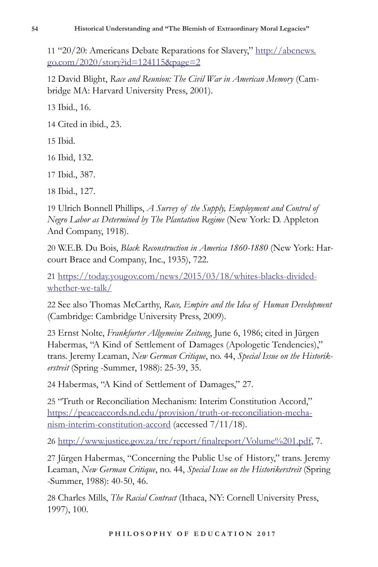11 "20/20: Americans Debate Reparations for Slavery," http://abcnews. go.com/2020/story?id=124115&page=2

12 David Blight, *Race and Reunion: The Civil War in American Memory* (Cambridge MA: Harvard University Press, 2001).

13 Ibid., 16.

14 Cited in ibid., 23.

15 Ibid.

16 Ibid, 132.

17 Ibid., 387.

18 Ibid., 127.

19 Ulrich Bonnell Phillips, *A Survey of the Supply, Employment and Control of Negro Labor as Determined by The Plantation Regime* (New York: D. Appleton And Company, 1918).

20 W.E.B. Du Bois, *Black Reconstruction in America 1860-1880* (New York: Harcourt Brace and Company, Inc., 1935), 722.

21 https://today.yougov.com/news/2015/03/18/whites-blacks-dividedwhether-we-talk/

22 See also Thomas McCarthy, *Race, Empire and the Idea of Human Development* (Cambridge: Cambridge University Press, 2009).

23 Ernst Nolte, *Frankfurter Allgemeine Zeitung*, June 6, 1986; cited in Jürgen Habermas, "A Kind of Settlement of Damages (Apologetic Tendencies)," trans. Jeremy Leaman, *New German Critique*, no. 44, *Special Issue on the Historikerstreit* (Spring -Summer, 1988): 25-39, 35.

24 Habermas, "A Kind of Settlement of Damages," 27.

25 "Truth or Reconciliation Mechanism: Interim Constitution Accord," https://peaceaccords.nd.edu/provision/truth-or-reconciliation-mechanism-interim-constitution-accord (accessed 7/11/18).

26 http://www.justice.gov.za/trc/report/finalreport/Volume%201.pdf, 7.

27 Jürgen Habermas, "Concerning the Public Use of History," trans. Jeremy Leaman, *New German Critique*, no. 44, *Special Issue on the Historikerstreit* (Spring -Summer, 1988): 40-50, 46.

28 Charles Mills, *The Racial Contract* (Ithaca, NY: Cornell University Press, 1997), 100.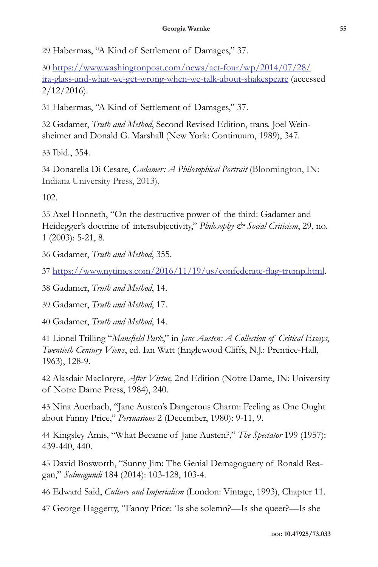29 Habermas, "A Kind of Settlement of Damages," 37.

30 https://www.washingtonpost.com/news/act-four/wp/2014/07/28/ ira-glass-and-what-we-get-wrong-when-we-talk-about-shakespeare (accessed  $2/12/2016$ .

31 Habermas, "A Kind of Settlement of Damages," 37.

32 Gadamer, *Truth and Method*, Second Revised Edition, trans. Joel Weinsheimer and Donald G. Marshall (New York: Continuum, 1989), 347.

33 Ibid., 354.

34 Donatella Di Cesare, *Gadamer: A Philosophical Portrait* (Bloomington, IN: Indiana University Press, 2013),

102.

35 Axel Honneth, "On the destructive power of the third: Gadamer and Heidegger's doctrine of intersubjectivity," *Philosophy & Social Criticism*, 29, no. 1 (2003): 5-21, 8.

36 Gadamer, *Truth and Method*, 355.

37 https://www.nytimes.com/2016/11/19/us/confederate-flag-trump.html.

38 Gadamer, *Truth and Method*, 14.

39 Gadamer, *Truth and Method*, 17.

40 Gadamer, *Truth and Method*, 14.

41 Lionel Trilling "*Mansfield Park*," in *Jane Austen: A Collection of Critical Essays*, *Twentieth Century Views*, ed. Ian Watt (Englewood Cliffs, N.J.: Prentice-Hall, 1963), 128-9.

42 Alasdair MacIntyre, *After Virtue,* 2nd Edition (Notre Dame, IN: University of Notre Dame Press, 1984), 240.

43 Nina Auerbach, "Jane Austen's Dangerous Charm: Feeling as One Ought about Fanny Price," *Persuasions* 2 (December, 1980): 9-11, 9.

44 Kingsley Amis, "What Became of Jane Austen?," *The Spectator* 199 (1957): 439-440, 440.

45 David Bosworth, "Sunny Jim: The Genial Demagoguery of Ronald Reagan," *Salmagundi* 184 (2014): 103-128, 103-4.

46 Edward Said, *Culture and Imperialism* (London: Vintage, 1993), Chapter 11.

47 George Haggerty, "Fanny Price: 'Is she solemn?—Is she queer?—Is she